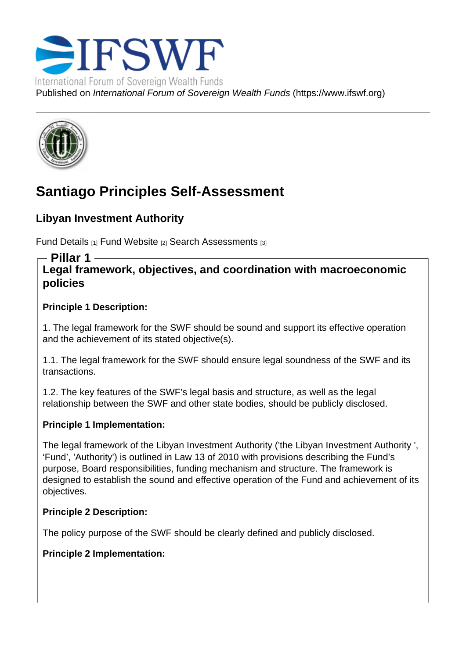# Santiago Principles Self-Assessment

Libyan Investment Authority

Fund Details [1] Fund Website [2] Search Assessments [3]

Pillar 1

Legal framework, objectives, and coordination with macroeconomic [policies](https://www.ifswf.org/node/449)

Principle 1 Description:

1. The legal framework for the SWF should be sound and support its effective operation and the achievement of its stated objective(s).

1.1. The legal framework for the SWF should ensure legal soundness of the SWF and its transactions.

1.2. The key features of the SWF's legal basis and structure, as well as the legal relationship between the SWF and other state bodies, should be publicly disclosed.

Principle 1 Implementation:

The legal framework of the Libyan Investment Authority ('the Libyan Investment Authority ', 'Fund', 'Authority') is outlined in Law 13 of 2010 with provisions describing the Fund's purpose, Board responsibilities, funding mechanism and structure. The framework is designed to establish the sound and effective operation of the Fund and achievement of its objectives.

Principle 2 Description:

The policy purpose of the SWF should be clearly defined and publicly disclosed.

Principle 2 Implementation: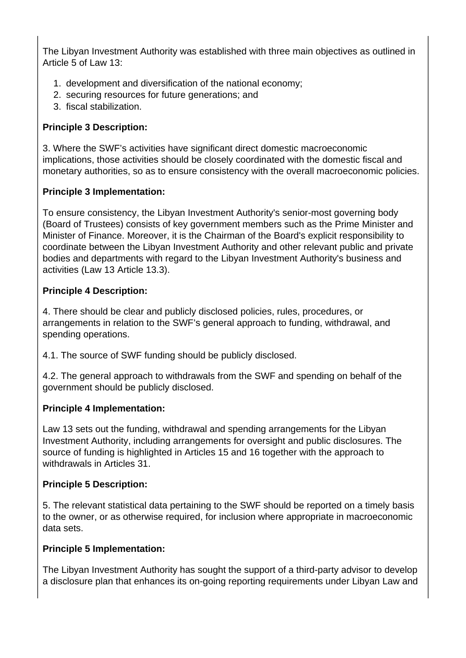The Libyan Investment Authority was established with three main objectives as outlined in Article 5 of Law 13:

- 1. development and diversification of the national economy;
- 2. securing resources for future generations; and
- 3. fiscal stabilization.

## **Principle 3 Description:**

3. Where the SWF's activities have significant direct domestic macroeconomic implications, those activities should be closely coordinated with the domestic fiscal and monetary authorities, so as to ensure consistency with the overall macroeconomic policies.

## **Principle 3 Implementation:**

To ensure consistency, the Libyan Investment Authority's senior-most governing body (Board of Trustees) consists of key government members such as the Prime Minister and Minister of Finance. Moreover, it is the Chairman of the Board's explicit responsibility to coordinate between the Libyan Investment Authority and other relevant public and private bodies and departments with regard to the Libyan Investment Authority's business and activities (Law 13 Article 13.3).

## **Principle 4 Description:**

4. There should be clear and publicly disclosed policies, rules, procedures, or arrangements in relation to the SWF's general approach to funding, withdrawal, and spending operations.

4.1. The source of SWF funding should be publicly disclosed.

4.2. The general approach to withdrawals from the SWF and spending on behalf of the government should be publicly disclosed.

## **Principle 4 Implementation:**

Law 13 sets out the funding, withdrawal and spending arrangements for the Libyan Investment Authority, including arrangements for oversight and public disclosures. The source of funding is highlighted in Articles 15 and 16 together with the approach to withdrawals in Articles 31.

## **Principle 5 Description:**

5. The relevant statistical data pertaining to the SWF should be reported on a timely basis to the owner, or as otherwise required, for inclusion where appropriate in macroeconomic data sets.

## **Principle 5 Implementation:**

The Libyan Investment Authority has sought the support of a third-party advisor to develop a disclosure plan that enhances its on-going reporting requirements under Libyan Law and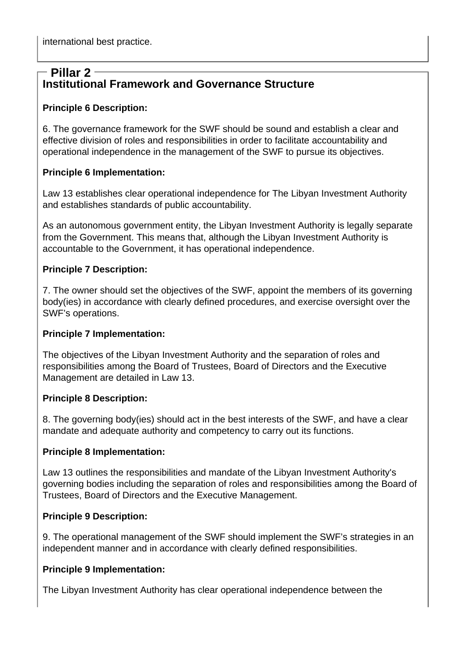# **Institutional Framework and Governance Structure Pillar 2**

#### **Principle 6 Description:**

6. The governance framework for the SWF should be sound and establish a clear and effective division of roles and responsibilities in order to facilitate accountability and operational independence in the management of the SWF to pursue its objectives.

#### **Principle 6 Implementation:**

Law 13 establishes clear operational independence for The Libyan Investment Authority and establishes standards of public accountability.

As an autonomous government entity, the Libyan Investment Authority is legally separate from the Government. This means that, although the Libyan Investment Authority is accountable to the Government, it has operational independence.

#### **Principle 7 Description:**

7. The owner should set the objectives of the SWF, appoint the members of its governing body(ies) in accordance with clearly defined procedures, and exercise oversight over the SWF's operations.

#### **Principle 7 Implementation:**

The objectives of the Libyan Investment Authority and the separation of roles and responsibilities among the Board of Trustees, Board of Directors and the Executive Management are detailed in Law 13.

#### **Principle 8 Description:**

8. The governing body(ies) should act in the best interests of the SWF, and have a clear mandate and adequate authority and competency to carry out its functions.

#### **Principle 8 Implementation:**

Law 13 outlines the responsibilities and mandate of the Libyan Investment Authority's governing bodies including the separation of roles and responsibilities among the Board of Trustees, Board of Directors and the Executive Management.

## **Principle 9 Description:**

9. The operational management of the SWF should implement the SWF's strategies in an independent manner and in accordance with clearly defined responsibilities.

#### **Principle 9 Implementation:**

The Libyan Investment Authority has clear operational independence between the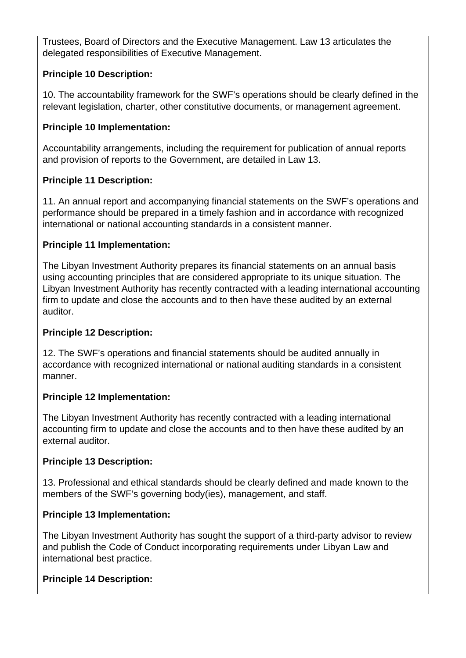Trustees, Board of Directors and the Executive Management. Law 13 articulates the delegated responsibilities of Executive Management.

## **Principle 10 Description:**

10. The accountability framework for the SWF's operations should be clearly defined in the relevant legislation, charter, other constitutive documents, or management agreement.

## **Principle 10 Implementation:**

Accountability arrangements, including the requirement for publication of annual reports and provision of reports to the Government, are detailed in Law 13.

## **Principle 11 Description:**

11. An annual report and accompanying financial statements on the SWF's operations and performance should be prepared in a timely fashion and in accordance with recognized international or national accounting standards in a consistent manner.

## **Principle 11 Implementation:**

The Libyan Investment Authority prepares its financial statements on an annual basis using accounting principles that are considered appropriate to its unique situation. The Libyan Investment Authority has recently contracted with a leading international accounting firm to update and close the accounts and to then have these audited by an external auditor.

# **Principle 12 Description:**

12. The SWF's operations and financial statements should be audited annually in accordance with recognized international or national auditing standards in a consistent manner.

## **Principle 12 Implementation:**

The Libyan Investment Authority has recently contracted with a leading international accounting firm to update and close the accounts and to then have these audited by an external auditor.

## **Principle 13 Description:**

13. Professional and ethical standards should be clearly defined and made known to the members of the SWF's governing body(ies), management, and staff.

# **Principle 13 Implementation:**

The Libyan Investment Authority has sought the support of a third-party advisor to review and publish the Code of Conduct incorporating requirements under Libyan Law and international best practice.

# **Principle 14 Description:**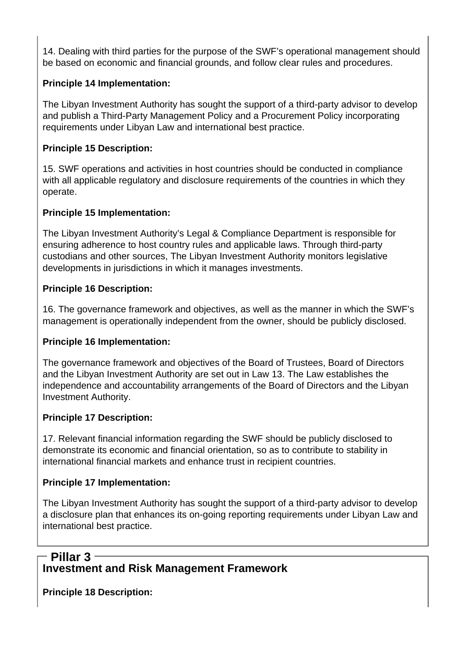14. Dealing with third parties for the purpose of the SWF's operational management should be based on economic and financial grounds, and follow clear rules and procedures.

## **Principle 14 Implementation:**

The Libyan Investment Authority has sought the support of a third-party advisor to develop and publish a Third-Party Management Policy and a Procurement Policy incorporating requirements under Libyan Law and international best practice.

## **Principle 15 Description:**

15. SWF operations and activities in host countries should be conducted in compliance with all applicable regulatory and disclosure requirements of the countries in which they operate.

## **Principle 15 Implementation:**

The Libyan Investment Authority's Legal & Compliance Department is responsible for ensuring adherence to host country rules and applicable laws. Through third-party custodians and other sources, The Libyan Investment Authority monitors legislative developments in jurisdictions in which it manages investments.

## **Principle 16 Description:**

16. The governance framework and objectives, as well as the manner in which the SWF's management is operationally independent from the owner, should be publicly disclosed.

## **Principle 16 Implementation:**

The governance framework and objectives of the Board of Trustees, Board of Directors and the Libyan Investment Authority are set out in Law 13. The Law establishes the independence and accountability arrangements of the Board of Directors and the Libyan Investment Authority.

# **Principle 17 Description:**

17. Relevant financial information regarding the SWF should be publicly disclosed to demonstrate its economic and financial orientation, so as to contribute to stability in international financial markets and enhance trust in recipient countries.

# **Principle 17 Implementation:**

The Libyan Investment Authority has sought the support of a third-party advisor to develop a disclosure plan that enhances its on-going reporting requirements under Libyan Law and international best practice.

# **Investment and Risk Management Framework Pillar 3**

**Principle 18 Description:**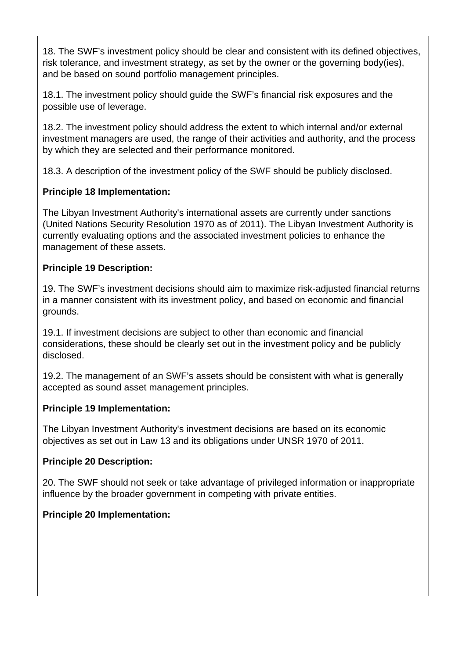18. The SWF's investment policy should be clear and consistent with its defined objectives, risk tolerance, and investment strategy, as set by the owner or the governing body(ies), and be based on sound portfolio management principles.

18.1. The investment policy should guide the SWF's financial risk exposures and the possible use of leverage.

18.2. The investment policy should address the extent to which internal and/or external investment managers are used, the range of their activities and authority, and the process by which they are selected and their performance monitored.

18.3. A description of the investment policy of the SWF should be publicly disclosed.

## **Principle 18 Implementation:**

The Libyan Investment Authority's international assets are currently under sanctions (United Nations Security Resolution 1970 as of 2011). The Libyan Investment Authority is currently evaluating options and the associated investment policies to enhance the management of these assets.

## **Principle 19 Description:**

19. The SWF's investment decisions should aim to maximize risk-adjusted financial returns in a manner consistent with its investment policy, and based on economic and financial grounds.

19.1. If investment decisions are subject to other than economic and financial considerations, these should be clearly set out in the investment policy and be publicly disclosed.

19.2. The management of an SWF's assets should be consistent with what is generally accepted as sound asset management principles.

## **Principle 19 Implementation:**

The Libyan Investment Authority's investment decisions are based on its economic objectives as set out in Law 13 and its obligations under UNSR 1970 of 2011.

## **Principle 20 Description:**

20. The SWF should not seek or take advantage of privileged information or inappropriate influence by the broader government in competing with private entities.

## **Principle 20 Implementation:**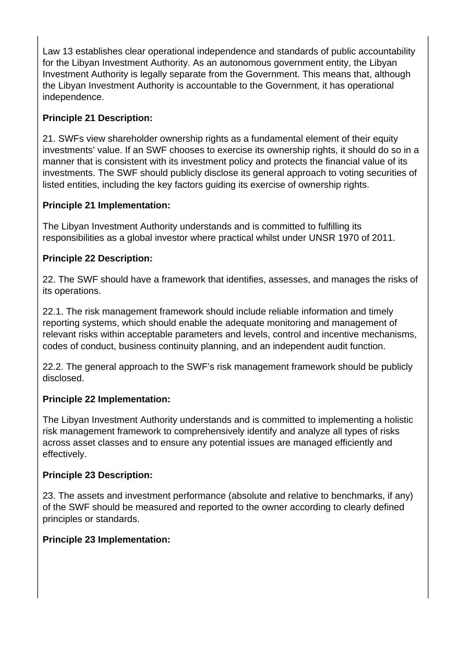Law 13 establishes clear operational independence and standards of public accountability for the Libyan Investment Authority. As an autonomous government entity, the Libyan Investment Authority is legally separate from the Government. This means that, although the Libyan Investment Authority is accountable to the Government, it has operational independence.

# **Principle 21 Description:**

21. SWFs view shareholder ownership rights as a fundamental element of their equity investments' value. If an SWF chooses to exercise its ownership rights, it should do so in a manner that is consistent with its investment policy and protects the financial value of its investments. The SWF should publicly disclose its general approach to voting securities of listed entities, including the key factors guiding its exercise of ownership rights.

## **Principle 21 Implementation:**

The Libyan Investment Authority understands and is committed to fulfilling its responsibilities as a global investor where practical whilst under UNSR 1970 of 2011.

#### **Principle 22 Description:**

22. The SWF should have a framework that identifies, assesses, and manages the risks of its operations.

22.1. The risk management framework should include reliable information and timely reporting systems, which should enable the adequate monitoring and management of relevant risks within acceptable parameters and levels, control and incentive mechanisms, codes of conduct, business continuity planning, and an independent audit function.

22.2. The general approach to the SWF's risk management framework should be publicly disclosed.

#### **Principle 22 Implementation:**

The Libyan Investment Authority understands and is committed to implementing a holistic risk management framework to comprehensively identify and analyze all types of risks across asset classes and to ensure any potential issues are managed efficiently and effectively.

#### **Principle 23 Description:**

23. The assets and investment performance (absolute and relative to benchmarks, if any) of the SWF should be measured and reported to the owner according to clearly defined principles or standards.

#### **Principle 23 Implementation:**